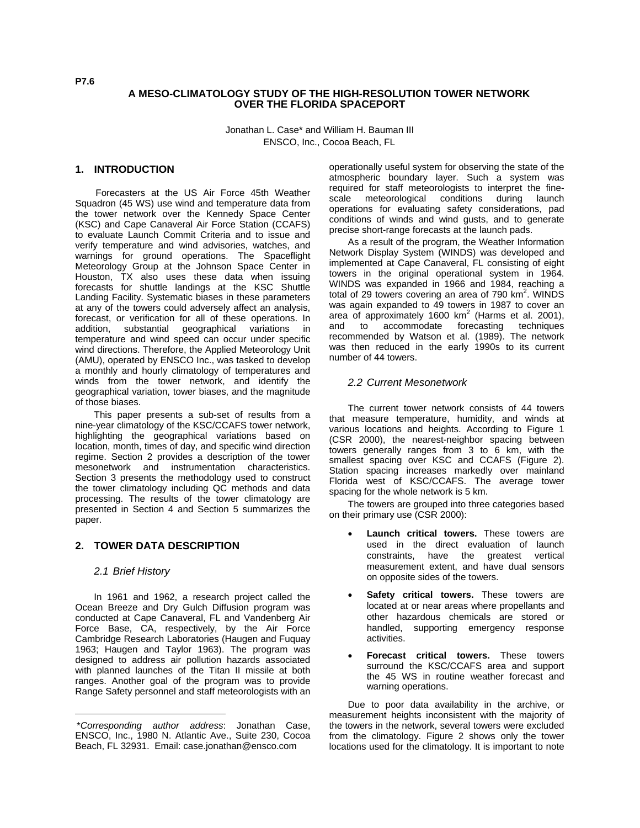### **A MESO-CLIMATOLOGY STUDY OF THE HIGH-RESOLUTION TOWER NETWORK OVER THE FLORIDA SPACEPORT**

Jonathan L. Case\* and William H. Bauman III ENSCO, Inc., Cocoa Beach, FL

## **1. INTRODUCTION**

Forecasters at the US Air Force 45th Weather Squadron (45 WS) use wind and temperature data from the tower network over the Kennedy Space Center (KSC) and Cape Canaveral Air Force Station (CCAFS) to evaluate Launch Commit Criteria and to issue and verify temperature and wind advisories, watches, and warnings for ground operations. The Spaceflight Meteorology Group at the Johnson Space Center in Houston, TX also uses these data when issuing forecasts for shuttle landings at the KSC Shuttle Landing Facility. Systematic biases in these parameters at any of the towers could adversely affect an analysis, forecast, or verification for all of these operations. In addition, substantial geographical variations in temperature and wind speed can occur under specific wind directions. Therefore, the Applied Meteorology Unit (AMU), operated by ENSCO Inc., was tasked to develop a monthly and hourly climatology of temperatures and winds from the tower network, and identify the geographical variation, tower biases, and the magnitude of those biases.

This paper presents a sub-set of results from a nine-year climatology of the KSC/CCAFS tower network, highlighting the geographical variations based on location, month, times of day, and specific wind direction regime. Section 2 provides a description of the tower mesonetwork and instrumentation characteristics. Section 3 presents the methodology used to construct the tower climatology including QC methods and data processing. The results of the tower climatology are presented in Section 4 and Section 5 summarizes the paper.

# **2. TOWER DATA DESCRIPTION**

### *2.1 Brief History*

l

In 1961 and 1962, a research project called the Ocean Breeze and Dry Gulch Diffusion program was conducted at Cape Canaveral, FL and Vandenberg Air Force Base, CA, respectively, by the Air Force Cambridge Research Laboratories (Haugen and Fuquay 1963; Haugen and Taylor 1963). The program was designed to address air pollution hazards associated with planned launches of the Titan II missile at both ranges. Another goal of the program was to provide Range Safety personnel and staff meteorologists with an operationally useful system for observing the state of the atmospheric boundary layer. Such a system was required for staff meteorologists to interpret the finescale meteorological conditions during launch operations for evaluating safety considerations, pad conditions of winds and wind gusts, and to generate precise short-range forecasts at the launch pads.

As a result of the program, the Weather Information Network Display System (WINDS) was developed and implemented at Cape Canaveral, FL consisting of eight towers in the original operational system in 1964. WINDS was expanded in 1966 and 1984, reaching a total of 29 towers covering an area of 790  $km^2$ . WINDS was again expanded to 49 towers in 1987 to cover an area of approximately 1600 km<sup>2</sup> (Harms et al. 2001), and to accommodate forecasting techniques recommended by Watson et al. (1989). The network was then reduced in the early 1990s to its current number of 44 towers.

#### *2.2 Current Mesonetwork*

The current tower network consists of 44 towers that measure temperature, humidity, and winds at various locations and heights. According to Figure 1 (CSR 2000), the nearest-neighbor spacing between towers generally ranges from 3 to 6 km, with the smallest spacing over KSC and CCAFS (Figure 2). Station spacing increases markedly over mainland Florida west of KSC/CCAFS. The average tower spacing for the whole network is 5 km.

The towers are grouped into three categories based on their primary use (CSR 2000):

- **Launch critical towers.** These towers are used in the direct evaluation of launch constraints, have the greatest vertical measurement extent, and have dual sensors on opposite sides of the towers.
- Safety critical towers. These towers are located at or near areas where propellants and other hazardous chemicals are stored or handled, supporting emergency response activities.
- **Forecast critical towers.** These towers surround the KSC/CCAFS area and support the 45 WS in routine weather forecast and warning operations.

Due to poor data availability in the archive, or measurement heights inconsistent with the majority of the towers in the network, several towers were excluded from the climatology. Figure 2 shows only the tower locations used for the climatology. It is important to note

<sup>\*</sup>*Corresponding author address*: Jonathan Case, ENSCO, Inc., 1980 N. Atlantic Ave., Suite 230, Cocoa Beach, FL 32931. Email: case.jonathan@ensco.com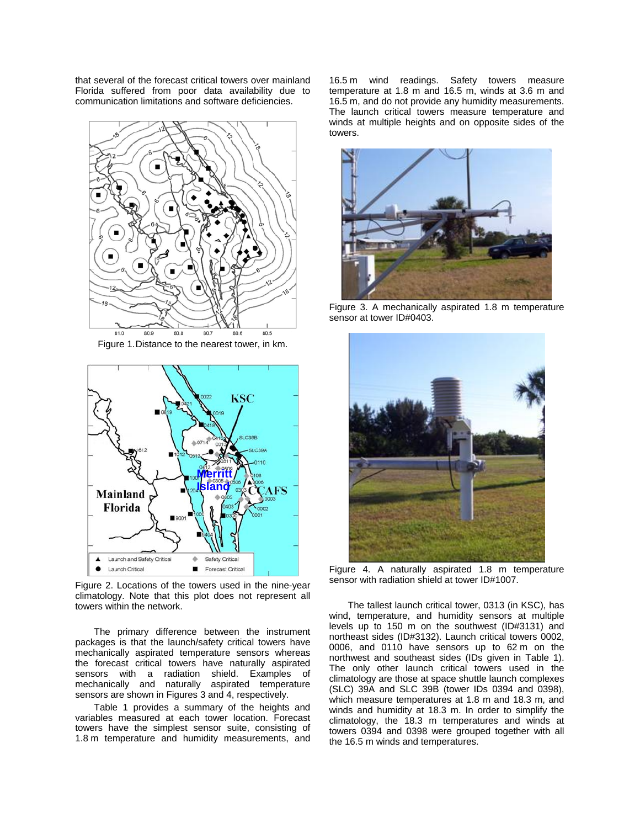that several of the forecast critical towers over mainland Florida suffered from poor data availability due to communication limitations and software deficiencies.



Figure 1. Distance to the nearest tower, in km.



Figure 2. Locations of the towers used in the nine-year climatology. Note that this plot does not represent all towers within the network.

The primary difference between the instrument packages is that the launch/safety critical towers have mechanically aspirated temperature sensors whereas the forecast critical towers have naturally aspirated sensors with a radiation shield. Examples of mechanically and naturally aspirated temperature sensors are shown in Figures 3 and 4, respectively.

Table 1 provides a summary of the heights and variables measured at each tower location. Forecast towers have the simplest sensor suite, consisting of 1.8 m temperature and humidity measurements, and 16.5 m wind readings. Safety towers measure temperature at 1.8 m and 16.5 m, winds at 3.6 m and 16.5 m, and do not provide any humidity measurements. The launch critical towers measure temperature and winds at multiple heights and on opposite sides of the towers.



Figure 3. A mechanically aspirated 1.8 m temperature sensor at tower ID#0403.



Figure 4. A naturally aspirated 1.8 m temperature sensor with radiation shield at tower ID#1007.

The tallest launch critical tower, 0313 (in KSC), has wind, temperature, and humidity sensors at multiple levels up to 150 m on the southwest (ID#3131) and northeast sides (ID#3132). Launch critical towers 0002, 0006, and 0110 have sensors up to 62 m on the northwest and southeast sides (IDs given in Table 1). The only other launch critical towers used in the climatology are those at space shuttle launch complexes (SLC) 39A and SLC 39B (tower IDs 0394 and 0398), which measure temperatures at 1.8 m and 18.3 m, and winds and humidity at 18.3 m. In order to simplify the climatology, the 18.3 m temperatures and winds at towers 0394 and 0398 were grouped together with all the 16.5 m winds and temperatures.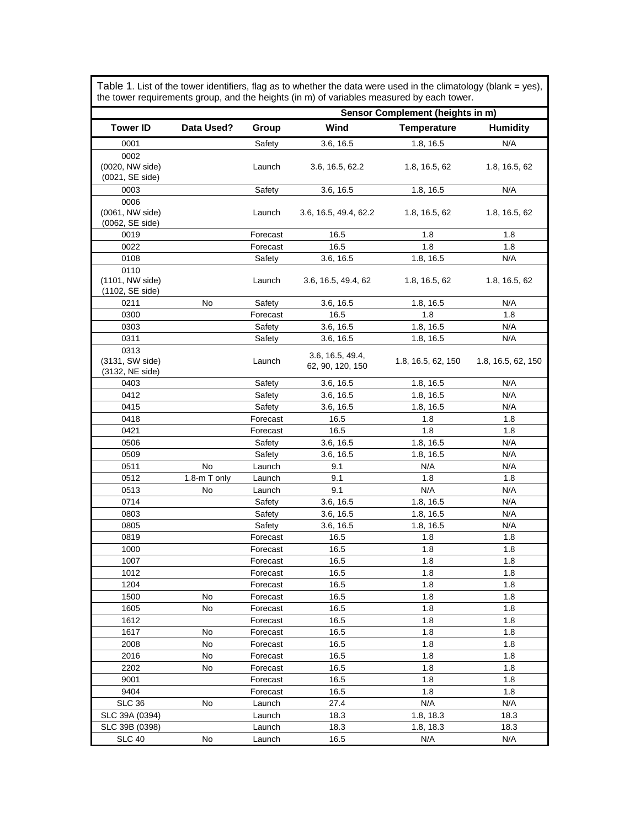|                         |              | Sensor Complement (heights in m) |                       |                    |                    |  |
|-------------------------|--------------|----------------------------------|-----------------------|--------------------|--------------------|--|
| <b>Tower ID</b>         | Data Used?   | Group                            | Wind                  | <b>Temperature</b> | <b>Humidity</b>    |  |
| 0001                    |              | Safety                           | 3.6, 16.5             | 1.8, 16.5          | N/A                |  |
| 0002                    |              |                                  |                       |                    |                    |  |
| (0020, NW side)         |              | Launch                           | 3.6, 16.5, 62.2       | 1.8, 16.5, 62      | 1.8, 16.5, 62      |  |
| (0021, SE side)         |              |                                  |                       |                    |                    |  |
| 0003                    |              | Safety                           | 3.6, 16.5             | 1.8, 16.5          | N/A                |  |
| 0006                    |              |                                  |                       |                    |                    |  |
| (0061, NW side)         |              | Launch                           | 3.6, 16.5, 49.4, 62.2 | 1.8, 16.5, 62      | 1.8, 16.5, 62      |  |
| (0062, SE side)         |              |                                  |                       |                    |                    |  |
| 0019                    |              | Forecast                         | 16.5                  | 1.8                | 1.8                |  |
| 0022                    |              | Forecast                         | 16.5                  | 1.8                | 1.8                |  |
| 0108                    |              | Safety                           | 3.6, 16.5             | 1.8, 16.5          | N/A                |  |
| 0110<br>(1101, NW side) |              | Launch                           | 3.6, 16.5, 49.4, 62   | 1.8, 16.5, 62      | 1.8, 16.5, 62      |  |
| (1102, SE side)         |              |                                  |                       |                    |                    |  |
| 0211                    | No           | Safety                           | 3.6, 16.5             | 1.8, 16.5          | N/A                |  |
| 0300                    |              | Forecast                         | 16.5                  | 1.8                | 1.8                |  |
| 0303                    |              | Safety                           | 3.6, 16.5             | 1.8, 16.5          | N/A                |  |
| 0311                    |              | Safety                           | 3.6, 16.5             | 1.8, 16.5          | N/A                |  |
| 0313                    |              |                                  |                       |                    |                    |  |
| (3131, SW side)         |              | Launch                           | 3.6, 16.5, 49.4,      | 1.8, 16.5, 62, 150 | 1.8, 16.5, 62, 150 |  |
| (3132, NE side)         |              |                                  | 62, 90, 120, 150      |                    |                    |  |
| 0403                    |              | Safety                           | 3.6, 16.5             | 1.8, 16.5          | N/A                |  |
| 0412                    |              | Safety                           | 3.6, 16.5             | 1.8, 16.5          | N/A                |  |
| 0415                    |              | Safety                           | 3.6, 16.5             | 1.8, 16.5          | N/A                |  |
| 0418                    |              | Forecast                         | 16.5                  | 1.8                | 1.8                |  |
| 0421                    |              | Forecast                         | 16.5                  | 1.8                | 1.8                |  |
| 0506                    |              | Safety                           | 3.6, 16.5             | 1.8, 16.5          | N/A                |  |
| 0509                    |              | Safety                           | 3.6, 16.5             | 1.8, 16.5          | N/A                |  |
| 0511                    | No           | Launch                           | 9.1                   | N/A                | N/A                |  |
| 0512                    | 1.8-m T only | Launch                           | 9.1                   | 1.8                | 1.8                |  |
| 0513                    | No           | Launch                           | 9.1                   | N/A                | N/A                |  |
| 0714                    |              | Safety                           | 3.6, 16.5             | 1.8, 16.5          | N/A                |  |
| 0803                    |              | Safety                           | 3.6, 16.5             | 1.8, 16.5          | N/A                |  |
| 0805                    |              | Safety                           | 3.6, 16.5             | 1.8, 16.5          | N/A                |  |
| 0819                    |              | Forecast                         | 16.5                  | 1.8                | 1.8                |  |
| 1000                    |              | Forecast                         | 16.5                  | 1.8                | 1.8                |  |
| 1007                    |              | Forecast                         | 16.5                  | 1.8                | 1.8                |  |
| 1012                    |              | Forecast                         | 16.5                  | 1.8                | 1.8                |  |
| 1204                    |              | Forecast                         | 16.5                  | 1.8                | 1.8                |  |
| 1500                    | No           | Forecast                         | 16.5                  | 1.8                | 1.8                |  |
| 1605                    | No           | Forecast                         | 16.5                  | 1.8                | 1.8                |  |
| 1612                    |              | Forecast                         | 16.5                  | 1.8                | 1.8                |  |
| 1617                    | No           | Forecast                         | 16.5                  | 1.8                | 1.8                |  |
| 2008                    | No           | Forecast                         | 16.5                  | 1.8                | 1.8                |  |
| 2016                    | No           | Forecast                         | 16.5                  | 1.8                | 1.8                |  |
| 2202                    | No           | Forecast                         | 16.5                  | 1.8                | 1.8                |  |
| 9001                    |              | Forecast                         | 16.5                  | 1.8                | 1.8                |  |
| 9404                    |              | Forecast                         | 16.5                  | 1.8                | 1.8                |  |
| <b>SLC 36</b>           | No           | Launch                           | 27.4                  | N/A                | N/A                |  |
| SLC 39A (0394)          |              | Launch                           | 18.3                  | 1.8, 18.3          | 18.3               |  |
| SLC 39B (0398)          |              | Launch                           | 18.3                  | 1.8, 18.3          | 18.3               |  |
| <b>SLC 40</b>           | No           | Launch                           | 16.5                  | N/A                | N/A                |  |

Table 1. List of the tower identifiers, flag as to whether the data were used in the climatology (blank = yes),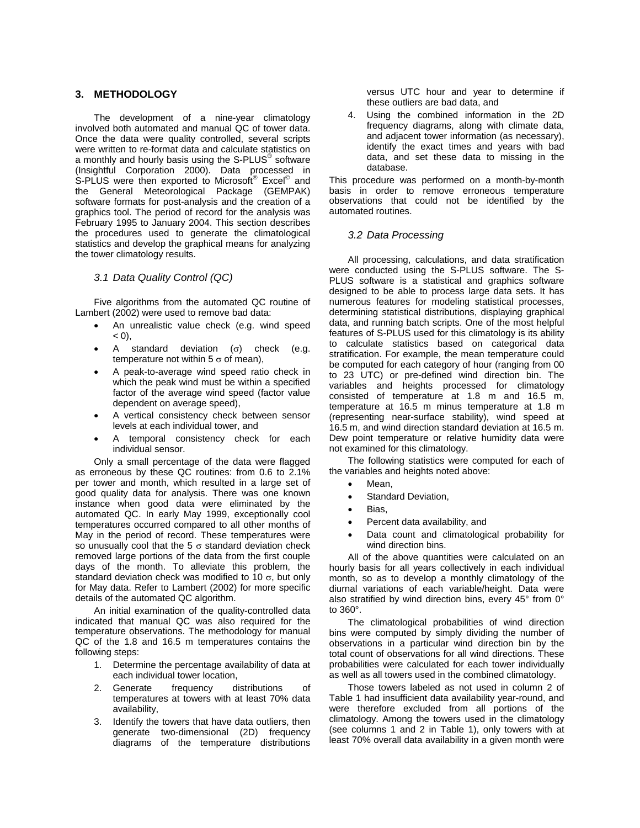## **3. METHODOLOGY**

The development of a nine-year climatology involved both automated and manual QC of tower data. Once the data were quality controlled, several scripts were written to re-format data and calculate statistics on a monthly and hourly basis using the S-PLUS $^{\circledast}$  software (Insightful Corporation 2000). Data processed in S-PLUS were then exported to Microsoft<sup>®</sup> Excel<sup>®</sup> and the General Meteorological Package (GEMPAK) software formats for post-analysis and the creation of a graphics tool. The period of record for the analysis was February 1995 to January 2004. This section describes the procedures used to generate the climatological statistics and develop the graphical means for analyzing the tower climatology results.

#### *3.1 Data Quality Control (QC)*

Five algorithms from the automated QC routine of Lambert (2002) were used to remove bad data:

- An unrealistic value check (e.g. wind speed  $( 0, 0)$
- A standard deviation ( $σ$ ) check (e.g. temperature not within  $5 \sigma$  of mean).
- A peak-to-average wind speed ratio check in which the peak wind must be within a specified factor of the average wind speed (factor value dependent on average speed),
- A vertical consistency check between sensor levels at each individual tower, and
- A temporal consistency check for each individual sensor.

Only a small percentage of the data were flagged as erroneous by these QC routines: from 0.6 to 2.1% per tower and month, which resulted in a large set of good quality data for analysis. There was one known instance when good data were eliminated by the automated QC. In early May 1999, exceptionally cool temperatures occurred compared to all other months of May in the period of record. These temperatures were so unusually cool that the 5  $\sigma$  standard deviation check removed large portions of the data from the first couple days of the month. To alleviate this problem, the standard deviation check was modified to 10  $\sigma$ , but only for May data. Refer to Lambert (2002) for more specific details of the automated QC algorithm.

An initial examination of the quality-controlled data indicated that manual QC was also required for the temperature observations. The methodology for manual QC of the 1.8 and 16.5 m temperatures contains the following steps:

- 1. Determine the percentage availability of data at each individual tower location,
- 2. Generate frequency distributions of temperatures at towers with at least 70% data availability,
- 3. Identify the towers that have data outliers, then generate two-dimensional (2D) frequency diagrams of the temperature distributions

versus UTC hour and year to determine if these outliers are bad data, and

4. Using the combined information in the 2D frequency diagrams, along with climate data, and adjacent tower information (as necessary), identify the exact times and years with bad data, and set these data to missing in the database.

This procedure was performed on a month-by-month basis in order to remove erroneous temperature observations that could not be identified by the automated routines.

## *3.2 Data Processing*

All processing, calculations, and data stratification were conducted using the S-PLUS software. The S-PLUS software is a statistical and graphics software designed to be able to process large data sets. It has numerous features for modeling statistical processes, determining statistical distributions, displaying graphical data, and running batch scripts. One of the most helpful features of S-PLUS used for this climatology is its ability to calculate statistics based on categorical data stratification. For example, the mean temperature could be computed for each category of hour (ranging from 00 to 23 UTC) or pre-defined wind direction bin. The variables and heights processed for climatology consisted of temperature at 1.8 m and 16.5 m, temperature at 16.5 m minus temperature at 1.8 m (representing near-surface stability), wind speed at 16.5 m, and wind direction standard deviation at 16.5 m. Dew point temperature or relative humidity data were not examined for this climatology.

The following statistics were computed for each of the variables and heights noted above:

- Mean.
- Standard Deviation,
- Bias,
- Percent data availability, and
- Data count and climatological probability for wind direction bins.

All of the above quantities were calculated on an hourly basis for all years collectively in each individual month, so as to develop a monthly climatology of the diurnal variations of each variable/height. Data were also stratified by wind direction bins, every 45° from 0° to 360°.

The climatological probabilities of wind direction bins were computed by simply dividing the number of observations in a particular wind direction bin by the total count of observations for all wind directions. These probabilities were calculated for each tower individually as well as all towers used in the combined climatology.

Those towers labeled as not used in column 2 of Table 1 had insufficient data availability year-round, and were therefore excluded from all portions of the climatology. Among the towers used in the climatology (see columns 1 and 2 in Table 1), only towers with at least 70% overall data availability in a given month were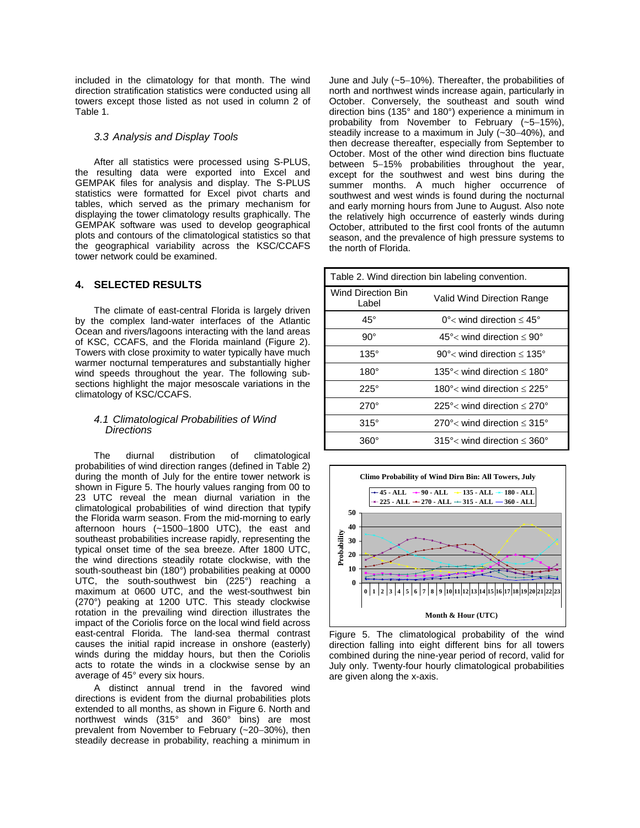included in the climatology for that month. The wind direction stratification statistics were conducted using all towers except those listed as not used in column 2 of Table 1.

### *3.3 Analysis and Display Tools*

After all statistics were processed using S-PLUS, the resulting data were exported into Excel and GEMPAK files for analysis and display. The S-PLUS statistics were formatted for Excel pivot charts and tables, which served as the primary mechanism for displaying the tower climatology results graphically. The GEMPAK software was used to develop geographical plots and contours of the climatological statistics so that the geographical variability across the KSC/CCAFS tower network could be examined.

### **4. SELECTED RESULTS**

The climate of east-central Florida is largely driven by the complex land-water interfaces of the Atlantic Ocean and rivers/lagoons interacting with the land areas of KSC, CCAFS, and the Florida mainland (Figure 2). Towers with close proximity to water typically have much warmer nocturnal temperatures and substantially higher wind speeds throughout the year. The following subsections highlight the major mesoscale variations in the climatology of KSC/CCAFS.

### *4.1 Climatological Probabilities of Wind Directions*

The diurnal distribution of climatological probabilities of wind direction ranges (defined in Table 2) during the month of July for the entire tower network is shown in Figure 5. The hourly values ranging from 00 to 23 UTC reveal the mean diurnal variation in the climatological probabilities of wind direction that typify the Florida warm season. From the mid-morning to early afternoon hours (~1500−1800 UTC), the east and southeast probabilities increase rapidly, representing the typical onset time of the sea breeze. After 1800 UTC, the wind directions steadily rotate clockwise, with the south-southeast bin (180°) probabilities peaking at 0000 UTC, the south-southwest bin (225°) reaching a maximum at 0600 UTC, and the west-southwest bin (270°) peaking at 1200 UTC. This steady clockwise rotation in the prevailing wind direction illustrates the impact of the Coriolis force on the local wind field across east-central Florida. The land-sea thermal contrast causes the initial rapid increase in onshore (easterly) winds during the midday hours, but then the Coriolis acts to rotate the winds in a clockwise sense by an average of 45° every six hours.

A distinct annual trend in the favored wind directions is evident from the diurnal probabilities plots extended to all months, as shown in Figure 6. North and northwest winds (315° and 360° bins) are most prevalent from November to February (~20−30%), then steadily decrease in probability, reaching a minimum in

June and July (~5−10%). Thereafter, the probabilities of north and northwest winds increase again, particularly in October. Conversely, the southeast and south wind direction bins (135° and 180°) experience a minimum in probability from November to February (~5−15%), steadily increase to a maximum in July (~30−40%), and then decrease thereafter, especially from September to October. Most of the other wind direction bins fluctuate between 5−15% probabilities throughout the year, except for the southwest and west bins during the summer months. A much higher occurrence of southwest and west winds is found during the nocturnal and early morning hours from June to August. Also note the relatively high occurrence of easterly winds during October, attributed to the first cool fronts of the autumn season, and the prevalence of high pressure systems to the north of Florida.

| Table 2. Wind direction bin labeling convention. |                                                      |  |  |  |
|--------------------------------------------------|------------------------------------------------------|--|--|--|
| <b>Wind Direction Bin</b><br>Label               | Valid Wind Direction Range                           |  |  |  |
| $45^\circ$                                       | 0° $<$ wind direction $\leq 45^{\circ}$              |  |  |  |
| $90^{\circ}$                                     | 45 $\degree$ wind direction $\leq 90\degree$         |  |  |  |
| $135^\circ$                                      | 90 $\degree$ wind direction $\leq$ 135 $\degree$     |  |  |  |
| $180^\circ$                                      | 135 $\degree$ wind direction $\degree$ 180 $\degree$ |  |  |  |
| $225^\circ$                                      | 180 $\degree$ wind direction $\degree$ 225 $\degree$ |  |  |  |
| $270^\circ$                                      | 225 $\degree$ < wind direction $\leq$ 270 $\degree$  |  |  |  |
| $315^\circ$                                      | 270 $\degree$ < wind direction $\leq 315\degree$     |  |  |  |
| 360°                                             | $315^{\circ}$ wind direction $\leq 360^{\circ}$      |  |  |  |



Figure 5. The climatological probability of the wind direction falling into eight different bins for all towers combined during the nine-year period of record, valid for July only. Twenty-four hourly climatological probabilities are given along the x-axis.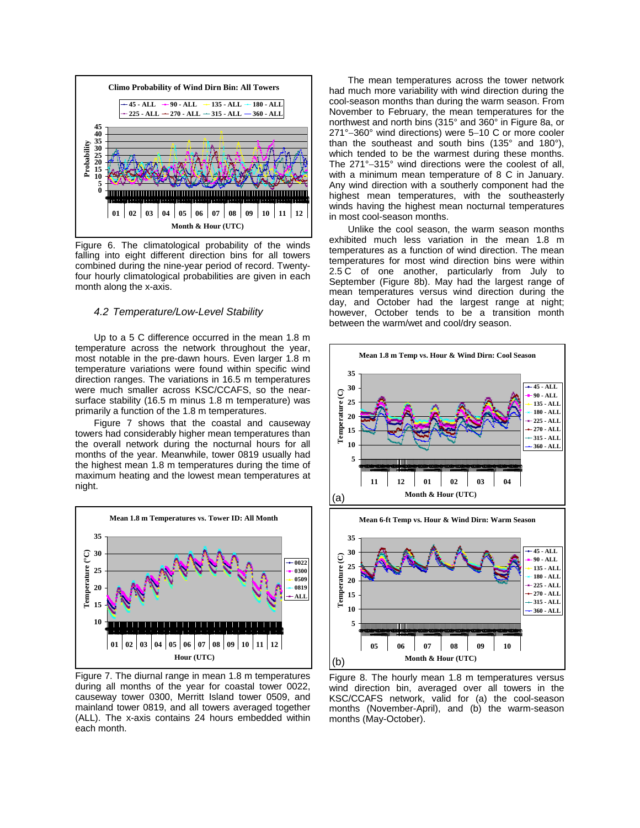

Figure 6. The climatological probability of the winds falling into eight different direction bins for all towers combined during the nine-year period of record. Twentyfour hourly climatological probabilities are given in each month along the x-axis.

#### *4.2 Temperature/Low-Level Stability*

Up to a 5 C difference occurred in the mean 1.8 m temperature across the network throughout the year, most notable in the pre-dawn hours. Even larger 1.8 m temperature variations were found within specific wind direction ranges. The variations in 16.5 m temperatures were much smaller across KSC/CCAFS, so the nearsurface stability (16.5 m minus 1.8 m temperature) was primarily a function of the 1.8 m temperatures.

Figure 7 shows that the coastal and causeway towers had considerably higher mean temperatures than the overall network during the nocturnal hours for all months of the year. Meanwhile, tower 0819 usually had the highest mean 1.8 m temperatures during the time of maximum heating and the lowest mean temperatures at night.



Figure 7. The diurnal range in mean 1.8 m temperatures during all months of the year for coastal tower 0022, causeway tower 0300, Merritt Island tower 0509, and mainland tower 0819, and all towers averaged together (ALL). The x-axis contains 24 hours embedded within each month.

The mean temperatures across the tower network had much more variability with wind direction during the cool-season months than during the warm season. From November to February, the mean temperatures for the northwest and north bins (315° and 360° in Figure 8a, or 271°−360° wind directions) were 5−10 C or more cooler than the southeast and south bins (135° and 180°), which tended to be the warmest during these months. The 271°−315° wind directions were the coolest of all, with a minimum mean temperature of 8 C in January. Any wind direction with a southerly component had the highest mean temperatures, with the southeasterly winds having the highest mean nocturnal temperatures in most cool-season months.

Unlike the cool season, the warm season months exhibited much less variation in the mean 1.8 m temperatures as a function of wind direction. The mean temperatures for most wind direction bins were within 2.5 C of one another, particularly from July to September (Figure 8b). May had the largest range of mean temperatures versus wind direction during the day, and October had the largest range at night; however, October tends to be a transition month between the warm/wet and cool/dry season.



Figure 8. The hourly mean 1.8 m temperatures versus wind direction bin, averaged over all towers in the KSC/CCAFS network, valid for (a) the cool-season months (November-April), and (b) the warm-season months (May-October).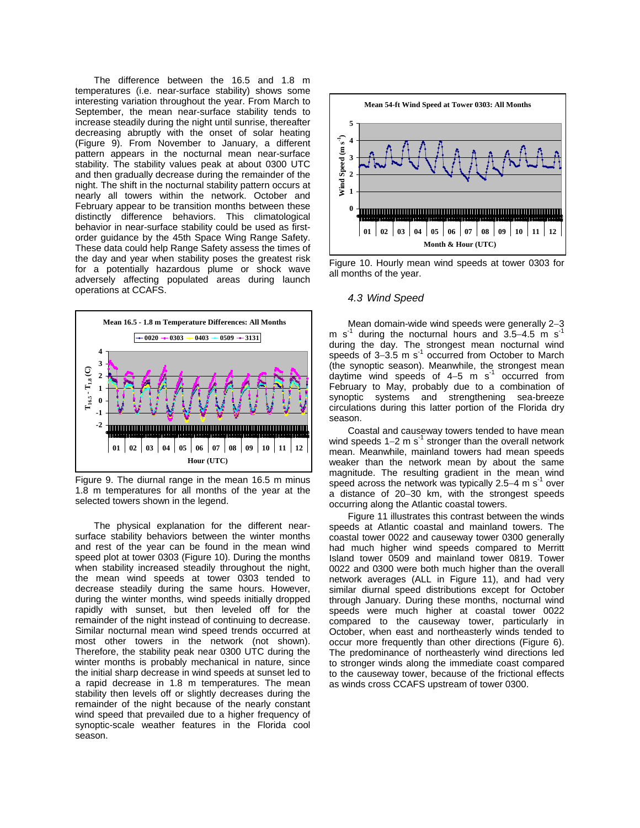The difference between the 16.5 and 1.8 m temperatures (i.e. near-surface stability) shows some interesting variation throughout the year. From March to September, the mean near-surface stability tends to increase steadily during the night until sunrise, thereafter decreasing abruptly with the onset of solar heating (Figure 9). From November to January, a different pattern appears in the nocturnal mean near-surface stability. The stability values peak at about 0300 UTC and then gradually decrease during the remainder of the night. The shift in the nocturnal stability pattern occurs at nearly all towers within the network. October and February appear to be transition months between these distinctly difference behaviors. This climatological behavior in near-surface stability could be used as firstorder guidance by the 45th Space Wing Range Safety. These data could help Range Safety assess the times of the day and year when stability poses the greatest risk for a potentially hazardous plume or shock wave adversely affecting populated areas during launch operations at CCAFS.



Figure 9. The diurnal range in the mean 16.5 m minus 1.8 m temperatures for all months of the year at the selected towers shown in the legend.

The physical explanation for the different nearsurface stability behaviors between the winter months and rest of the year can be found in the mean wind speed plot at tower 0303 (Figure 10). During the months when stability increased steadily throughout the night, the mean wind speeds at tower 0303 tended to decrease steadily during the same hours. However, during the winter months, wind speeds initially dropped rapidly with sunset, but then leveled off for the remainder of the night instead of continuing to decrease. Similar nocturnal mean wind speed trends occurred at most other towers in the network (not shown). Therefore, the stability peak near 0300 UTC during the winter months is probably mechanical in nature, since the initial sharp decrease in wind speeds at sunset led to a rapid decrease in 1.8 m temperatures. The mean stability then levels off or slightly decreases during the remainder of the night because of the nearly constant wind speed that prevailed due to a higher frequency of synoptic-scale weather features in the Florida cool season.



Figure 10. Hourly mean wind speeds at tower 0303 for all months of the year.

#### *4.3 Wind Speed*

Mean domain-wide wind speeds were generally 2−3 m s<sup>-1</sup> during the nocturnal hours and 3.5–4.5 m s<sup>-1</sup> during the day. The strongest mean nocturnal wind speeds of 3–3.5 m s<sup>-1</sup> occurred from October to March (the synoptic season). Meanwhile, the strongest mean daytime wind speeds of  $4-5$  m s<sup>-1</sup> occurred from February to May, probably due to a combination of synoptic systems and strengthening sea-breeze circulations during this latter portion of the Florida dry season.

Coastal and causeway towers tended to have mean wind speeds 1–2 m s<sup>-1</sup> stronger than the overall network mean. Meanwhile, mainland towers had mean speeds weaker than the network mean by about the same magnitude. The resulting gradient in the mean wind speed across the network was typically 2.5−4 m s<sup>-1</sup> over a distance of 20−30 km, with the strongest speeds occurring along the Atlantic coastal towers.

Figure 11 illustrates this contrast between the winds speeds at Atlantic coastal and mainland towers. The coastal tower 0022 and causeway tower 0300 generally had much higher wind speeds compared to Merritt Island tower 0509 and mainland tower 0819. Tower 0022 and 0300 were both much higher than the overall network averages (ALL in Figure 11), and had very similar diurnal speed distributions except for October through January. During these months, nocturnal wind speeds were much higher at coastal tower 0022 compared to the causeway tower, particularly in October, when east and northeasterly winds tended to occur more frequently than other directions (Figure 6). The predominance of northeasterly wind directions led to stronger winds along the immediate coast compared to the causeway tower, because of the frictional effects as winds cross CCAFS upstream of tower 0300.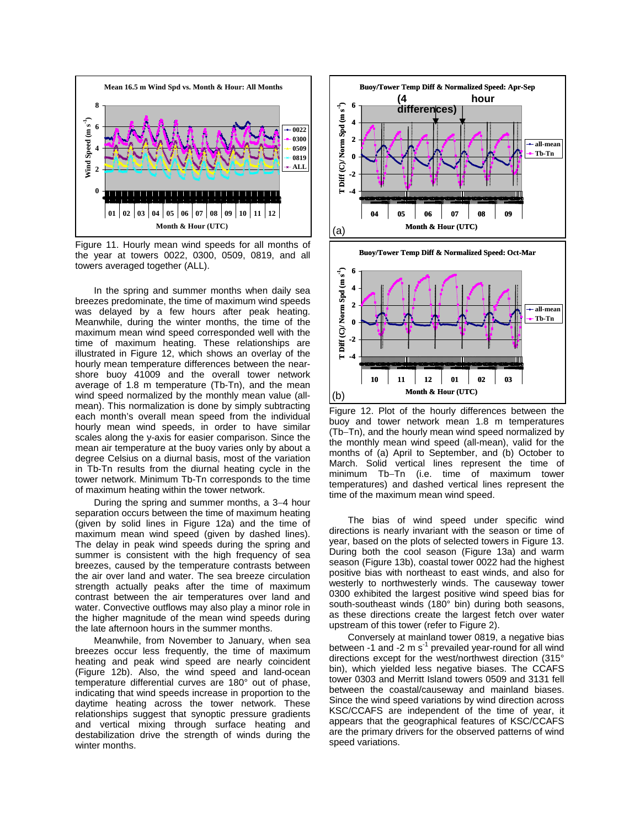

Figure 11. Hourly mean wind speeds for all months of the year at towers 0022, 0300, 0509, 0819, and all towers averaged together (ALL).

In the spring and summer months when daily sea breezes predominate, the time of maximum wind speeds was delayed by a few hours after peak heating. Meanwhile, during the winter months, the time of the maximum mean wind speed corresponded well with the time of maximum heating. These relationships are illustrated in Figure 12, which shows an overlay of the hourly mean temperature differences between the nearshore buoy 41009 and the overall tower network average of 1.8 m temperature (Tb-Tn), and the mean wind speed normalized by the monthly mean value (allmean). This normalization is done by simply subtracting each month's overall mean speed from the individual hourly mean wind speeds, in order to have similar scales along the y-axis for easier comparison. Since the mean air temperature at the buoy varies only by about a degree Celsius on a diurnal basis, most of the variation in Tb-Tn results from the diurnal heating cycle in the tower network. Minimum Tb-Tn corresponds to the time of maximum heating within the tower network.

During the spring and summer months, a 3−4 hour separation occurs between the time of maximum heating (given by solid lines in Figure 12a) and the time of maximum mean wind speed (given by dashed lines). The delay in peak wind speeds during the spring and summer is consistent with the high frequency of sea breezes, caused by the temperature contrasts between the air over land and water. The sea breeze circulation strength actually peaks after the time of maximum contrast between the air temperatures over land and water. Convective outflows may also play a minor role in the higher magnitude of the mean wind speeds during the late afternoon hours in the summer months.

Meanwhile, from November to January, when sea breezes occur less frequently, the time of maximum heating and peak wind speed are nearly coincident (Figure 12b). Also, the wind speed and land-ocean temperature differential curves are 180° out of phase, indicating that wind speeds increase in proportion to the daytime heating across the tower network. These relationships suggest that synoptic pressure gradients and vertical mixing through surface heating and destabilization drive the strength of winds during the winter months.





Figure 12. Plot of the hourly differences between the buoy and tower network mean 1.8 m temperatures (Tb−Tn), and the hourly mean wind speed normalized by the monthly mean wind speed (all-mean), valid for the months of (a) April to September, and (b) October to March. Solid vertical lines represent the time of minimum Tb−Tn (i.e. time of maximum tower temperatures) and dashed vertical lines represent the time of the maximum mean wind speed.

The bias of wind speed under specific wind directions is nearly invariant with the season or time of year, based on the plots of selected towers in Figure 13. During both the cool season (Figure 13a) and warm season (Figure 13b), coastal tower 0022 had the highest positive bias with northeast to east winds, and also for westerly to northwesterly winds. The causeway tower 0300 exhibited the largest positive wind speed bias for south-southeast winds (180° bin) during both seasons, as these directions create the largest fetch over water upstream of this tower (refer to Figure 2).

Conversely at mainland tower 0819, a negative bias between  $-1$  and  $-2$  m s<sup> $-1$ </sup> prevailed year-round for all wind directions except for the west/northwest direction (315° bin), which yielded less negative biases. The CCAFS tower 0303 and Merritt Island towers 0509 and 3131 fell between the coastal/causeway and mainland biases. Since the wind speed variations by wind direction across KSC/CCAFS are independent of the time of year, it appears that the geographical features of KSC/CCAFS are the primary drivers for the observed patterns of wind speed variations.